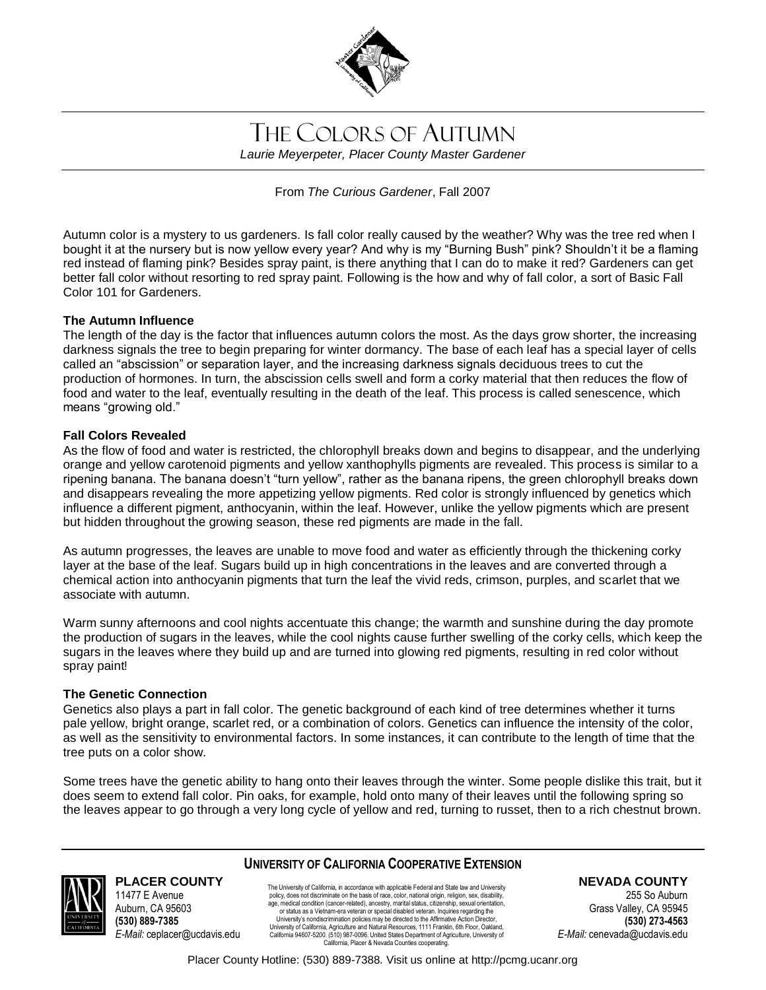

# THE COLORS OF AUTUMN *Laurie Meyerpeter, Placer County Master Gardener*

From *The Curious Gardener*, Fall 2007

Autumn color is a mystery to us gardeners. Is fall color really caused by the weather? Why was the tree red when I bought it at the nursery but is now yellow every year? And why is my "Burning Bush" pink? Shouldn't it be a flaming red instead of flaming pink? Besides spray paint, is there anything that I can do to make it red? Gardeners can get better fall color without resorting to red spray paint. Following is the how and why of fall color, a sort of Basic Fall Color 101 for Gardeners.

## **The Autumn Influence**

The length of the day is the factor that influences autumn colors the most. As the days grow shorter, the increasing darkness signals the tree to begin preparing for winter dormancy. The base of each leaf has a special layer of cells called an "abscission" or separation layer, and the increasing darkness signals deciduous trees to cut the production of hormones. In turn, the abscission cells swell and form a corky material that then reduces the flow of food and water to the leaf, eventually resulting in the death of the leaf. This process is called senescence, which means "growing old."

## **Fall Colors Revealed**

As the flow of food and water is restricted, the chlorophyll breaks down and begins to disappear, and the underlying orange and yellow carotenoid pigments and yellow xanthophylls pigments are revealed. This process is similar to a ripening banana. The banana doesn't "turn yellow", rather as the banana ripens, the green chlorophyll breaks down and disappears revealing the more appetizing yellow pigments. Red color is strongly influenced by genetics which influence a different pigment, anthocyanin, within the leaf. However, unlike the yellow pigments which are present but hidden throughout the growing season, these red pigments are made in the fall.

As autumn progresses, the leaves are unable to move food and water as efficiently through the thickening corky layer at the base of the leaf. Sugars build up in high concentrations in the leaves and are converted through a chemical action into anthocyanin pigments that turn the leaf the vivid reds, crimson, purples, and scarlet that we associate with autumn.

Warm sunny afternoons and cool nights accentuate this change; the warmth and sunshine during the day promote the production of sugars in the leaves, while the cool nights cause further swelling of the corky cells, which keep the sugars in the leaves where they build up and are turned into glowing red pigments, resulting in red color without spray paint!

#### **The Genetic Connection**

11477 E Avenue Auburn, CA 95603 **(530) 889-7385**

*E-Mail:* ceplacer@ucdavis.edu

Genetics also plays a part in fall color. The genetic background of each kind of tree determines whether it turns pale yellow, bright orange, scarlet red, or a combination of colors. Genetics can influence the intensity of the color, as well as the sensitivity to environmental factors. In some instances, it can contribute to the length of time that the tree puts on a color show.

Some trees have the genetic ability to hang onto their leaves through the winter. Some people dislike this trait, but it does seem to extend fall color. Pin oaks, for example, hold onto many of their leaves until the following spring so the leaves appear to go through a very long cycle of yellow and red, turning to russet, then to a rich chestnut brown.



#### **UNIVERSITY OF CALIFORNIA COOPERATIVE EXTENSION PLACER COUNTY**

The University of California, in accordance with applicable Federal and State law and University policy, does not discriminate on the basis of race, color, national origin, religion, sex, disability, age, medical condition (cancer-related), ancestry, marital status, citizenship, sexual orientation, or status as a Vietnam-era veteran or special disabled veteran. Inquiries regarding the University's nondiscrimination policies may be directed to the Affirmative Action Director, University of California, Agriculture and Natural Resources, 1111 Franklin, 6th Floor, Oakland, California 94607-5200. (510) 987-0096. United States Department of Agriculture, University of California, Placer & Nevada Counties cooperating.

**NEVADA COUNTY**

255 So Auburn Grass Valley, CA 95945 **(530) 273-4563** *E-Mail:* cenevada@ucdavis.edu

Placer County Hotline: (530) 889-7388. Visit us online at http://pcmg.ucanr.org